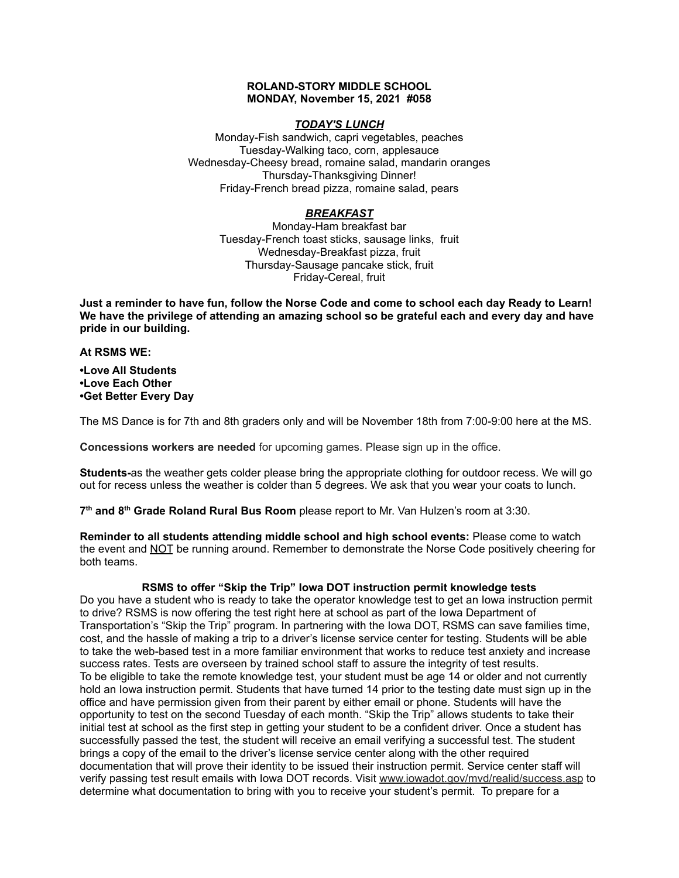#### **ROLAND-STORY MIDDLE SCHOOL MONDAY, November 15, 2021 #058**

## *TODAY'S LUNCH*

Monday-Fish sandwich, capri vegetables, peaches Tuesday-Walking taco, corn, applesauce Wednesday-Cheesy bread, romaine salad, mandarin oranges Thursday-Thanksgiving Dinner! Friday-French bread pizza, romaine salad, pears

# *BREAKFAST*

Monday-Ham breakfast bar Tuesday-French toast sticks, sausage links, fruit Wednesday-Breakfast pizza, fruit Thursday-Sausage pancake stick, fruit Friday-Cereal, fruit

Just a reminder to have fun, follow the Norse Code and come to school each day Ready to Learn! **We have the privilege of attending an amazing school so be grateful each and every day and have pride in our building.**

#### **At RSMS WE:**

**•Love All Students •Love Each Other •Get Better Every Day**

The MS Dance is for 7th and 8th graders only and will be November 18th from 7:00-9:00 here at the MS.

**Concessions workers are needed** for upcoming games. Please sign up in the office.

**Students-**as the weather gets colder please bring the appropriate clothing for outdoor recess. We will go out for recess unless the weather is colder than 5 degrees. We ask that you wear your coats to lunch.

**7 th and 8 th Grade Roland Rural Bus Room** please report to Mr. Van Hulzen's room at 3:30.

**Reminder to all students attending middle school and high school events:** Please come to watch the event and NOT be running around. Remember to demonstrate the Norse Code positively cheering for both teams.

# **RSMS to offer "Skip the Trip" Iowa DOT instruction permit knowledge tests**

Do you have a student who is ready to take the operator knowledge test to get an Iowa instruction permit to drive? RSMS is now offering the test right here at school as part of the Iowa Department of Transportation's "Skip the Trip" program. In partnering with the Iowa DOT, RSMS can save families time, cost, and the hassle of making a trip to a driver's license service center for testing. Students will be able to take the web-based test in a more familiar environment that works to reduce test anxiety and increase success rates. Tests are overseen by trained school staff to assure the integrity of test results. To be eligible to take the remote knowledge test, your student must be age 14 or older and not currently hold an Iowa instruction permit. Students that have turned 14 prior to the testing date must sign up in the office and have permission given from their parent by either email or phone. Students will have the opportunity to test on the second Tuesday of each month. "Skip the Trip" allows students to take their initial test at school as the first step in getting your student to be a confident driver. Once a student has successfully passed the test, the student will receive an email verifying a successful test. The student brings a copy of the email to the driver's license service center along with the other required documentation that will prove their identity to be issued their instruction permit. Service center staff will verify passing test result emails with Iowa DOT records. Visit [www.iowadot.gov/mvd/realid/success.asp](http://www.iowadot.gov/mvd/realid/success.asp) to determine what documentation to bring with you to receive your student's permit. To prepare for a